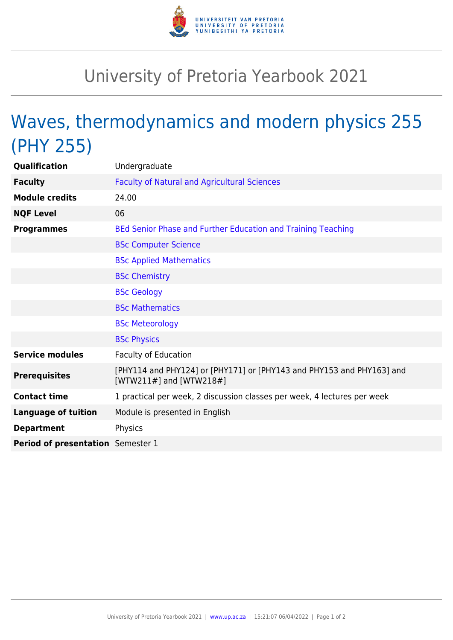

## University of Pretoria Yearbook 2021

## Waves, thermodynamics and modern physics 255 (PHY 255)

| Qualification                     | Undergraduate                                                                                    |
|-----------------------------------|--------------------------------------------------------------------------------------------------|
| <b>Faculty</b>                    | <b>Faculty of Natural and Agricultural Sciences</b>                                              |
| <b>Module credits</b>             | 24.00                                                                                            |
| <b>NQF Level</b>                  | 06                                                                                               |
| <b>Programmes</b>                 | BEd Senior Phase and Further Education and Training Teaching                                     |
|                                   | <b>BSc Computer Science</b>                                                                      |
|                                   | <b>BSc Applied Mathematics</b>                                                                   |
|                                   | <b>BSc Chemistry</b>                                                                             |
|                                   | <b>BSc Geology</b>                                                                               |
|                                   | <b>BSc Mathematics</b>                                                                           |
|                                   | <b>BSc Meteorology</b>                                                                           |
|                                   | <b>BSc Physics</b>                                                                               |
| <b>Service modules</b>            | <b>Faculty of Education</b>                                                                      |
| <b>Prerequisites</b>              | [PHY114 and PHY124] or [PHY171] or [PHY143 and PHY153 and PHY163] and<br>[WTW211#] and [WTW218#] |
| <b>Contact time</b>               | 1 practical per week, 2 discussion classes per week, 4 lectures per week                         |
| <b>Language of tuition</b>        | Module is presented in English                                                                   |
| <b>Department</b>                 | Physics                                                                                          |
| Period of presentation Semester 1 |                                                                                                  |